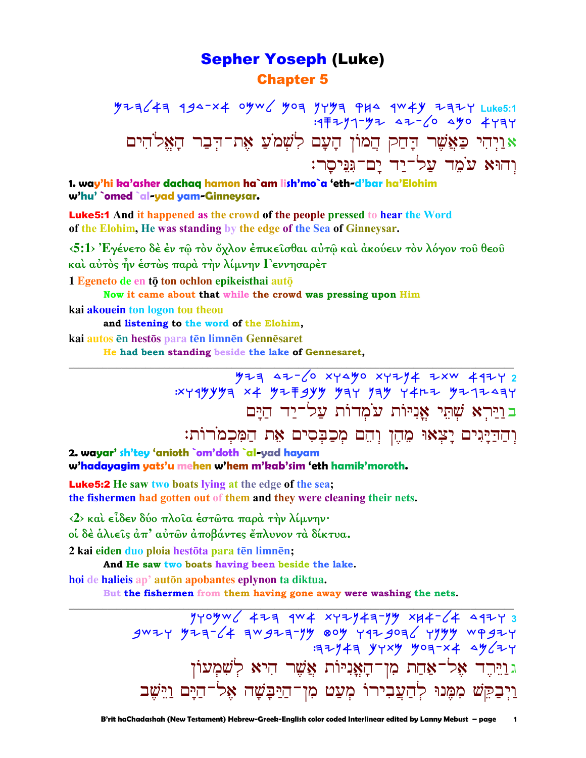## **Sepher Yoseph (Luke) Chapter 5**

 $y$ 23<43 194-x4 0yw / yoa yyya PH4 1w4y 고32Y Luke5:1  $-377 - 47$   $47 - 6$   $490$   $473$ צּוַיְהִי כַּאֲשֶׁר דָּחַק הֲמוֹן הָעָם *לִ*שְׁמ<sup>ֹ</sup>עַ אֶת־דִּבַר הָאֵל<sup>ּ</sup>הִים וְהוּא עֹמֶד עֲל־יַד יַם־גִּנִּיסַר:

1. way'hi ka'asher dachag hamon ha`am lish'mo`a 'eth-d'bar ha'Elohim w'hu' `omed `al-yad yam-Ginneysar.

**Luke5:1** And it happened as the crowd of the people pressed to hear the Word of the Elohim, He was standing by the edge of the Sea of Ginneysar.

 $\langle 5:1 \rangle$  Έγένετο δέ έν τῷ τὸν ὄχλον ἐπικεῖσθαι αὐτῷ καὶ ἀκούειν τὸν λόγον τοῦ θεοῦ και αύτος ήν έστως παρά την λίμνην Γεννησαρέτ

1 Egeneto de en tō ton ochlon epikeisthai autō

Now it came about that while the crowd was pressing upon Him

kai akouein ton logon tou theou

and listening to the word of the Elohim.

kai autos en hestos para ten limnen Gennesaret

He had been standing beside the lake of Gennesaret,

 $774$   $47-\sqrt{0}$  xyayo xyzy4 zxw 492y 2 בוירא שתי אניות עמדות על־יד הים

וְהַדַיָּגִים יָצְאוּ מֵהֶן וְהֵם מִכַבִּסִים אֵת הַמִּכְמֹרוֹת:

2. wayar' sh'tey 'anioth `om'doth `al-yad hayam w'hadayagim yats'u mehen w'hem m'kab'sim 'eth hamik'moroth.

**Luke5:2** He saw two boats lying at the edge of the sea; the fishermen had gotten out of them and they were cleaning their nets.

<2> και είδεν δύο πλοία έστώτα παρά την λίμνην·

οί δέ άλιείς άπ' αύτων άποβάντες έπλυνον τα δίκτυα.

2 kai eiden duo ploia hestōta para tēn limnēn;

And He saw two boats having been beside the lake.

hoi de halieis ap' auton apobantes eplynon ta diktua.

But the fishermen from them having gone away were washing the nets.

 $77747$  yyxy yoq-x4  $4777$ ג וַיֵּרֶד אֶל־אַחַת מִן־הָאֲנִיּוֹת אֲשֶׁר הִיא לִשָּׁמִעוֹן וַיִּבְקֵשׁ מִמֶּנוּ לְחַעֲבִירוֹ מִעֲט מִן־חַיַּבָּשָׁה אֵל<sup>ְ–</sup>חַיָּם וַיֵּשָׁב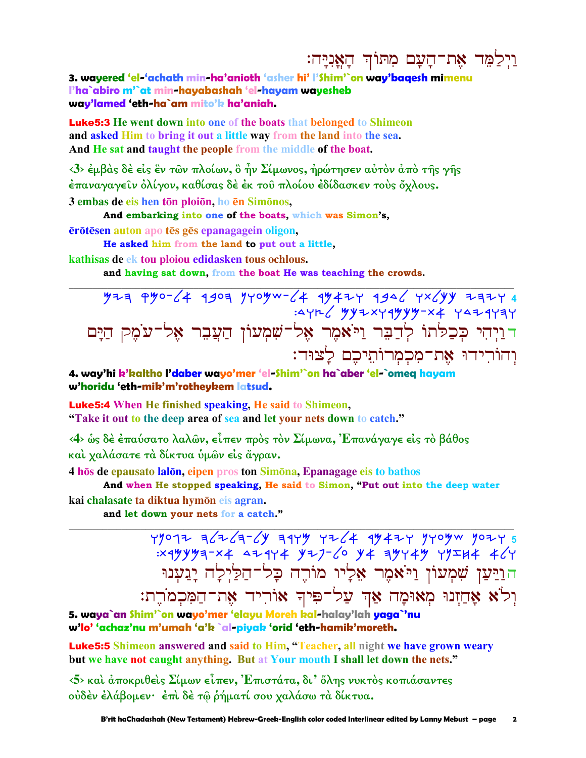# וַיִּלַמֶּד אֶת־הָעָם מִתּוֹךְ הָאֲנִיָּה:

3. wayered 'el-'achath min-ha'anioth 'asher hi' I'Shim'`on way'bagesh mimenu l'ha`abiro m'`at min-hayabashah 'el-hayam wayesheb way'lamed 'eth-ha`am mito'k ha'aniah.

**Luke 5:3** He went down into one of the boats that belonged to Shimeon and asked Him to bring it out a little way from the land into the sea. And He sat and taught the people from the middle of the boat.

 $\langle 3 \rangle$  έμβας δε είς εν των πλοίων, ο ήν Σίμωνος, ήρώτησεν αυτον από της γης έπαναγαγεῖν ὀλίγον, καθίσας δὲ ἐκ τοῦ πλοίου ἐδίδασκεν τοὺς ὄχλους. 3 embas de eis hen tōn ploiōn, ho ēn Simōnos,

And embarking into one of the boats, which was Simon's,

ērōtēsen auton apo tēs gēs epanagagein oligon,

He asked him from the land to put out a little,

kathisas de ek tou ploiou edidasken tous ochlous.

and having sat down, from the boat He was teaching the crowds.

| דוַיְהִי כְּכַלּתוֹ לְדַבִּר וַיֹּא <sub>ּ</sub> מָר אֶל־שִׁמְעוֹן הַעֲבֵר אֶל־עֹמֶק הַיָּם |  |                                         |  |  |
|---------------------------------------------------------------------------------------------|--|-----------------------------------------|--|--|
|                                                                                             |  | וְהוֹרִידוּ אֶת־מִכְמְרוֹתֵיכֶם לָצוּד: |  |  |

4. way'hi k'kaltho l'daber wayo'mer 'el-Shim'`on ha`aber 'el-`omeq hayam w'horidu 'eth-mik'm'rotheykem latsud.

**Luke5:4** When He finished speaking, He said to Shimeon, "Take it out to the deep area of sea and let your nets down to catch."

<4> ως δέ έπαύσατο λαλών, είπεν πρός τον Σίμωνα, Έπανάγαγε είς το βάθος καί χαλάσατε τα δίκτυα ύμων είς άγραν.

4 hos de epausato lalon, eipen pros ton Simona, Epanagage eis to bathos

And when He stopped speaking, He said to Simon, "Put out into the deep water kai chalasate ta diktua hymōn eis agran.

and let down your nets for a catch."

 $x_1x_2y_1y_2-x_4$  <  $x_1y_1z_1-z_2$  y  $x_1y_1z_1$  y  $x_1y_1z_1$  +  $x_1y_1$ הוַיַּעַן שִׁמְעוֹן וַיֹּ**א**מֶר אֶלֵיו מוֹרֵה כָּל־הַלַיִּלַָה יָגַעְנוּ וְלֹא אָחַזְנוּ מְאוּמָה אַךְ עַל־פִּיךְ אוֹרִיד אֶת־הַמִּכְמֹרֶת:

5. waya`an Shim'`on wayo'mer 'elayu Moreh kal-halay'lah yaga`'nu w'lo' 'achaz'nu m'umah 'a'k `al-piyak 'orid 'eth-hamik'moreth.

**Luke5:5** Shimeon answered and said to Him, "Teacher, all night we have grown weary but we have not caught anything. But at Your mouth I shall let down the nets."

 $\langle 5 \rangle$  και άποκριθείς Σίμων είπεν, Έπιστάτα, δι' όλης νυκτός κοπιάσαντες ούδέν έλάβομεν· έπι δέ τώ ρήματί σου χαλάσω τα δίκτυα.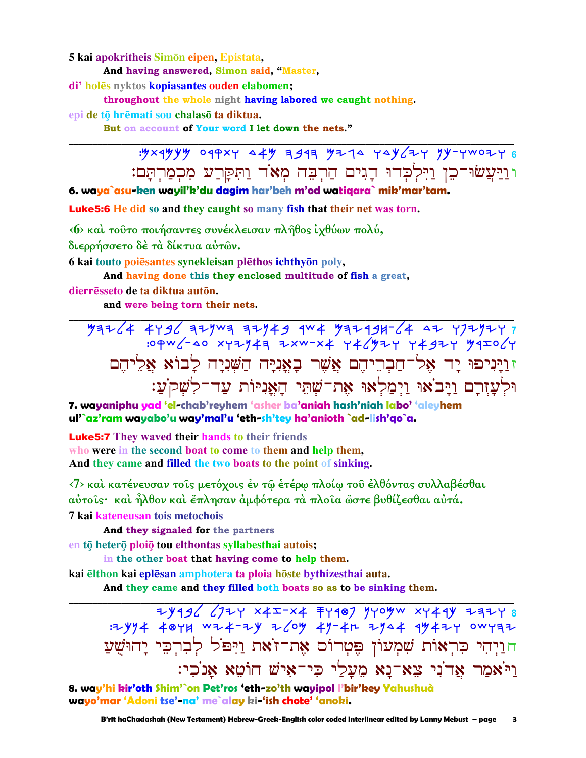#### 5 kai apokritheis Simon eipen, Epistata,

And having answered, Simon said, "Master,

di' holēs nyktos kopiasantes ouden elabomen;

throughout the whole night having labored we caught nothing.

epi de tō hrēmati sou chalasō ta diktua.

But on account of Your word I let down the nets."

וּוַיַּעֲשׂוּ־כֵן וַיִּלְכָדוּ דֵגִים הַרִבָּה מִאֹד וַתִּקַרַע מִכְמַרְתָּם:

6. waya`asu-ken wayil'k'du dagim har'beh m'od watiqara` mik'mar'tam.

**Luke5:6** He did so and they caught so many fish that their net was torn.

<6> και τούτο ποιήσαντες συνέκλεισαν πλήθος ιχθύων πολύ,

διερρήσσετο δέ τα δίκτυα αύτων.

6 kai touto poiēsantes synekleisan plēthos ichthyōn poly,

And having done this they enclosed multitude of fish a great,

dierrēsseto de ta diktua autōn.

and were being torn their nets.

זוַיָּנִיפוּ יָד אֵל־חַבְרֵיהֵם אֲשֶׁר בָאֲנִיָּה הַשִּׁנִיָּה לָבוֹא אֲלִיהֵם וּלְעַזִרַם וַיַּבֹאוּ וַיִּמַלְאוּ אָת־שָׁתֵּי הַאֲנִיּוֹת עַד־לְשָׁקִעָׁ:

7. wayaniphu yad 'el-chab'reyhem 'asher ba'aniah hash'niah labo' 'aleyhem ul'`az'ram wayabo'u way'mal'u 'eth-sh'tey ha'anioth `ad-lish'qo`a.

**Luke5:7** They waved their hands to their friends who were in the second boat to come to them and help them. And they came and filled the two boats to the point of sinking.

<7> και κατένευσαν τοις μετόχοις έν τῷ ἐτέρῳ πλοίῳ τοῦ ἐλθόντας συλλαβέσθαι αύτοις· και ήλθον και έπλησαν αμφότερα τα πλοια ώστε βυθίζεσθαι αυτά.

7 kai kateneusan tois metochois

And they signaled for the partners

en tō heterō ploiō tou elthontas syllabesthai autois;

in the other boat that having come to help them.

kai elthon kai eplēsan amphotera ta ploia hōste bythizesthai auta.

And they came and they filled both boats so as to be sinking them.

 $77496$   $6777$   $7747$   $77999$   $79999$   $77499$   $7749$   $77999$   $77994$   $77994$   $7794$   $7794$   $7794$   $7794$   $7794$   $7794$ חוַיְהִי כִּרְאוֹת שִׁמְעוֹן פֶּטְרוֹס אֶת־זֹאת וַיִּפֹּל לְבִרְכֵּי יַהוּשַׁעַ ויאמר אדני צא־נא מעלי כי־איש חוטא אנכי:

8. way'hi kir'oth Shim'`on Pet'ros 'eth-zo'th wayipol l'bir'key Yahushuà wayo'mar 'Adoni tse'-na' me`alay ki-'ish chote' 'anoki.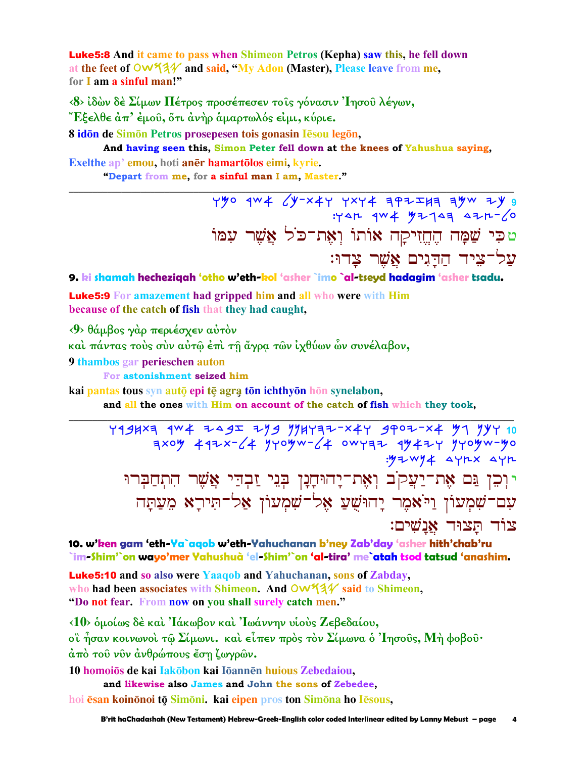**Luke5:8** And it came to pass when Shimeon Petros (Kepha) saw this, he fell down at the feet of OW134 and said, "My Adon (Master), Please leave from me, for I am a sinful man!"

<8> ίδών δέ Σίμων Πέτρος προσέπεσεν τους γόνασιν Ίησου λέγων, "Εξελθε άπ' έμου, ότι άνηρ άμαρτωλός είμι, κύριε.

8 idon de Simon Petros prosepesen tois gonasin Iesou legon,

And having seen this, Simon Peter fell down at the knees of Yahushua saying, Exelthe ap' emou, hoti aner hamartolos eimi, kyrie.

"Depart from me, for a sinful man I am, Master."

 $Y''$   $9'' + 6'' - x + 7$   $Y' + 4 = 9 - x + 1$  $747$   $404$   $4723$   $471-6$ טכִּי שַׁמַּה הֵחֱזִיקַה אוֹתוֹ וְאֵת־כֹל אֲשֶׁר עִמּוֹ על־ציד הדגים אַשר צדוּ:

9. ki shamah hecheziqah 'otho w'eth-kol 'asher `imo `al-tseyd hadagim 'asher tsadu.

**Luke5:9** For amazement had gripped him and all who were with Him because of the catch of fish that they had caught,

<9> θάμβος γάρ περιέσχεν αύτον

και πάντας τους συν αύτω έπι τη άγρα των ιχθύων ών συνέλαβον,

9 thambos gar perieschen auton

For astonishment seized him

kai pantas tous syn auto epi tē agra tōn ichthyōn hōn synelabon,

and all the ones with Him on account of the catch of fish which they took,

4994×7 124 7495 774777-447 9707-44 77 797 10  $7x0y$  492x-64 yrogw-64 owraz 9942r yrogw-go  $.97-w94$   $\Delta$   $Y1x$   $\Delta$  $Y1x$ יּוְכִן גַּם אֶת־יַעֲקֹב וְאֶת־יָהוּחָנָן בְּנֵי זַבְדַי אֲשֵׁר הִתְחַבִּרוּ עם־שִׁמְעוֹן וַיֹּאמֶר יָהוּשָׁעַ אֶל־שִׁמְעוֹן אַל־תִּירָא מֵעַתָּה צור תצור אנשים:

10. w'ken gam 'eth-Ya`aqob w'eth-Yahuchanan b'ney Zab'day 'asher hith'chab'ru `im-Shim'`on wayo'mer Yahushuà 'el-Shim'`on 'al-tira' me`atah tsod tatsud 'anashim.

**Luke5:10** and so also were Yaaqob and Yahuchanan, sons of Zabday, who had been associates with Shimeon. And OW531 said to Shimeon, "Do not fear. From now on you shall surely catch men."

<10> δμοίως δέ και 'Ιάκωβον και 'Ιωάννην υιούς Ζεβεδαίου, οϊ ήσαν κοινωνοί τω Σίμωνι. και είπεν πρός τον Σίμωνα ο Ίησους, Μή φοβου· άπό του νυν άνθρώπους έση ζωγρών.

10 homoiōs de kai Iakōbon kai Iōannēn huious Zebedaiou,

and likewise also James and John the sons of Zebedee,

hoi ēsan koinonoi tō Simoni. kai eipen pros ton Simona ho Iesous,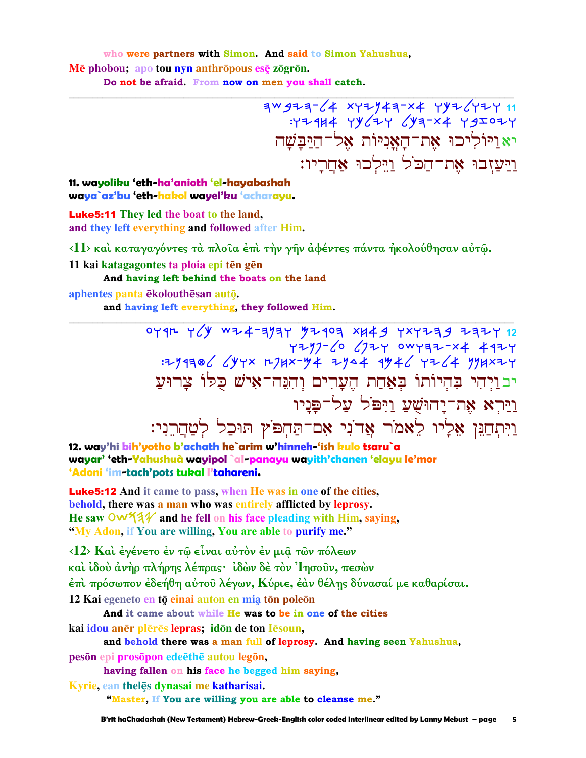who were partners with Simon. And said to Simon Yahushua,

Mē phobou; apo tou nyn anthrōpous esē zōgrōn.

Do not be afraid. From now on men you shall catch.

 $70977764$  xyzy43-x4<br> xy3-x4 yy64 xy3-x4 yy62y יא ויוליכו את־האניות אל־היִבַשָׁה ויעזבו את־הכֹל וילכוּ אחריו:

#### 11. wayoliku 'eth-ha'anioth 'el-hayabashah waya`az'bu 'eth-hakol wayel'ku 'acharayu.

**Luke5:11** They led the boat to the land, and they left everything and followed after Him.

<11> και καταγαγόντες τα πλοία έπι την γην αφέντες πάντα ήκολούθησαν αύτω.

11 kai katagagontes ta ploia epi tēn gēn

And having left behind the boats on the land

aphentes panta ēkolouthēsan autō.

and having left everything, they followed Him.

0794 769 WZX77799 XXX77799 7477 12<br>7777 0974 727770 7277 7297 :294306 644x 274x-44 2944 4946 4264 994x24 יבויהי בהיותו באחת הערים והנה־איש כלו צרוע <u>ויּ</u>רִא אֶת־יָהוּשָׁעַ וַיִּפּׂל עַל־פַּנָיו וַיִּתְחַנֵּן אֵלְיוּ לֵאמֹר אֲדֹנִי אָם־תַּחָפּוֹץ תּוּכַל לְטַחֲרֵנִי:

12. way'hi bih'yotho b'achath he`arim w'hinneh-'ish kulo tsaru`a wayar' 'eth-Yahushuà wayipol`al-panayu wayith'chanen 'elayu le'mor 'Adoni 'im-tach'pots tukal l'tahareni.

**Luke 5:12** And it came to pass, when He was in one of the cities, behold, there was a man who was entirely afflicted by leprosy. He saw  $\mathsf{OW44}$  and he fell on his face pleading with Him, saying, "My Adon, if You are willing, You are able to purify me."

<12> Και έγένετο έν τῷ εἶναι αὐτὸν ἐν μιậ τῶν πόλεων καὶ ἰδοὺ ἀνὴρ πλήρης λέπρας· ἰδὼν δὲ τὸν Ἰησοῦν, πεσὼν έπι πρόσωπον έδεήθη αύτου λέγων, Κύριε, έαν θέλης δύνασαί με καθαρίσαι.

12 Kai egeneto en tō einai auton en mia tōn poleōn

And it came about while He was to be in one of the cities

kai idou anēr plērēs lepras; idōn de ton lēsoun,

and behold there was a man full of leprosy. And having seen Yahushua, peson epi prosopon edeethe autou legon.

having fallen on his face he begged him saying,

Kyrie, ean thelēs dynasai me katharisai. "Master, If You are willing you are able to cleanse me."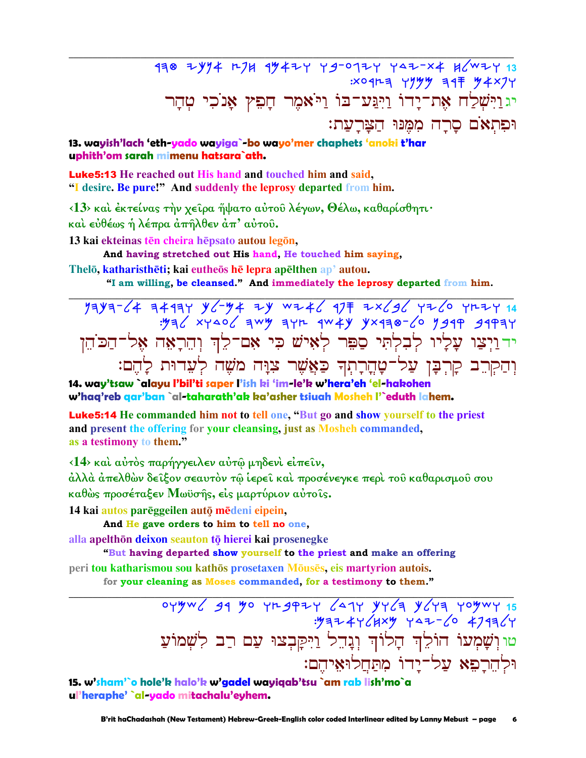478 2414 274 44424 49-0124 442-x4 46 :x0 12 = YYYY = 17 "Y + x 7 Y יגְוַיִּשְׁלַח אֶת־יָדוֹ וַיְגַּע־בּוֹ וַיֹּאמֶר חָפִץ אָנֹכִי טְהָר וּפִתְאֹם סַרַה מִמֵּנּוּ הַצַּרְעַת:

### 13. wayish'lach 'eth-yado wayiga`-bo wayo'mer chaphets 'anoki t'har uphith'om sarah mimenu hatsara`ath.

**Luke 5:13** He reached out His hand and touched him and said, "I desire. Be pure!" And suddenly the leprosy departed from him.

<13> και έκτείνας την χείρα ήψατο αύτου λέγων, Θέλω, καθαρίσθητι· και εύθέως ή λέπρα άπήλθεν άπ' αύτου.

13 kai ekteinas tēn cheira hēpsato autou legōn,

And having stretched out His hand, He touched him saying,

Thelō, katharisthēti; kai eutheōs hē lepra apēlthen ap' autou.

"I am willing, be cleansed." And immediately the leprosy departed from him.

 $7799764$  34417 96384 177 3446 177 3446 174 4469 1746<br>3949 9494 9661 97406 9744 174 444 9744 3446 ידוַיְצַו עָלְיו לְבִלְתִּי סַפֵּר לְאִישׁ כִּי אִם־לֵךְ וְהֵרָאֵה אֵל־הַכֹּהֵן וְהַקְרֵב קָרִבָּן עַל־טָהֶרָתִךְ כַּאֲשֶׁר צִוָּה מֹשֶׁה לְעֵדוּת לָהֶם:

14. way'tsaw `alayu l'bil'ti saper l'ish ki 'im-le'k w'hera'eh 'el-hakohen w'haa'reb aar'ban `al-taharath'ak ka'asher tsiyah Mosheh I'`eduth lahem.

Luke5:14 He commanded him not to tell one, "But go and show yourself to the priest and present the offering for your cleansing, just as Mosheh commanded, as a testimony to them."

<14> και αύτος παρήγγειλεν αύτω μηδενι είπειν,

άλλά άπελθών δεῖξον σεαυτὸν τῷ ἱερεῖ καὶ προσένεγκε περὶ τοῦ καθαρισμοῦ σου καθώς προσέταξεν Μωϋσής, είς μαρτύριον αύτοις.

14 kai autos parēggeilen autō mēdeni eipein.

And He gave orders to him to tell no one,

alla apelthōn deixon seauton tō hierei kai prosenegke

"But having departed show yourself to the priest and make an offering peri tou katharismou sou kathōs prosetaxen Mōusēs, eis martyrion autois.

for your cleaning as Moses commanded, for a testimony to them."

 $o$ yyw  $o$  31 yo yn 3924  $o$  41 yy  $o$  y  $o$  y  $o$  y  $o$  y  $o$  y  $o$  y  $o$  y  $o$  y  $o$   $15$  $7972447(111)$   $437-6$   $4797$ טו וִשַׁמְעוֹ הוֹלֵךְ הַלוֹךְ וְגַהֵל וַיִּקַּבְצוּ עָם רַב לְשָׁמוֹעַ וּלהרפא על־ידוֹ מתחלוּאיהם:

15. w'sham'`o hole'k halo'k w'gadel wayiqab'tsu `am rab lish'mo`a ul'heraphe' `al-yado mitachalu'eyhem.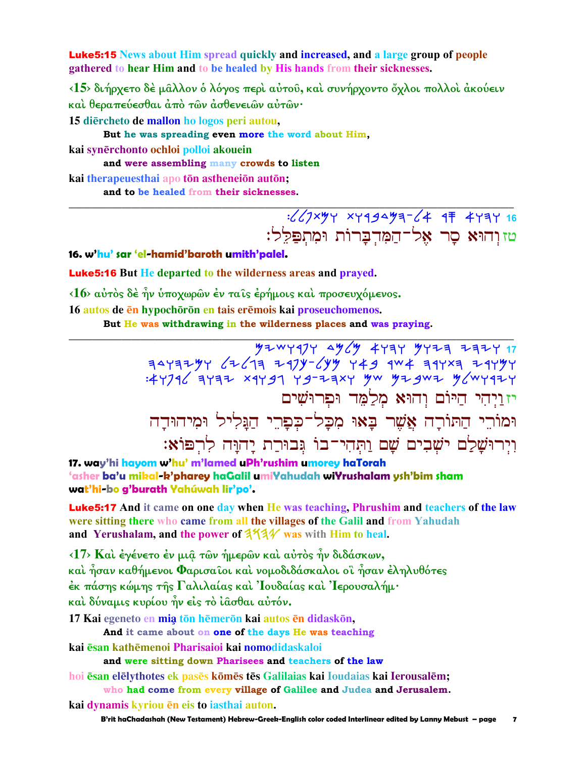**Luke5:15** News about Him spread quickly and increased, and a large group of people gathered to hear Him and to be healed by His hands from their sicknesses.

<15> διήρχετο δέ μαλλον ο λόγος περί αύτου, και συνήρχοντο όχλοι πολλοί ακούειν καί θεραπεύεσθαι άπό των άσθενειων αύτων·

15 diercheto de mallon ho logos peri autou,

But he was spreading even more the word about Him,

kai synērchonto ochloi polloi akouein

and were assembling many crowds to listen

kai therapeuesthai apo tōn astheneiōn autōn; and to be healed from their sicknesses.

> $16$   $16$   $17$   $19$   $19$   $19$   $10$   $10$   $10$   $10$   $10$   $10$   $10$ טזוְהוּא סָר אֵל־הַמִּדִבָּרוֹת וּמְתִפַּלֵל:

16. w'hu' sar 'el-hamid'baroth umith'palel.

**Luke 5:16** But He departed to the wilderness areas and prayed.

 $\langle 16 \rangle$  αύτος δέ ήν υποχωρών έν ταίς έρήμοις και προσευχόμενος.

16 autos de en hypochoron en tais eremois kai proseuchomenos.

But He was withdrawing in the wilderness places and was praying.

: 44796 9797 x9499 49-29x4 yw yz gwz y mygazy יז וַיְהִי הַיּוֹם וְהוּא מְלַמֶּד וּפִרוּשִׁים וּמוֹרֵי הַתּוֹרָה אֲשֶׁר בָּאוּ מִכָּל־כִּפָּרֵי הַגַּלִיל וּמִיהוּדַה וִיְרוּשָׁלַם ישְׁבִים שָׁם וַתְּהִי־בוֹ גִּבוּרַת יַהוַּה לְרִפּוֹא:

17. way'hi hayom w'hu' m'lamed uPh'rushim umorey haTorah 'asher ba'u mikal-k'pharey haGalil umiYahudah wiYrushalam ysh'bim sham wat'hi-bo g'burath Yahúwah lir'po'.

**Luke5:17** And it came on one day when He was teaching, Phrushim and teachers of the law were sitting there who came from all the villages of the Galil and from Yahudah and Yerushalam, and the power of  $3\frac{4}{4}$  was with Him to heal.

<17> Και έγένετο έν μια των ήμερων και αύτος ήν διδάσκων, καὶ ἦσαν καθήμενοι Φαρισαῖοι καὶ νομοδιδάσκαλοι οἳ ἦσαν ἐληλυθότες έκ πάσης κώμης τῆς Γαλιλαίας καὶ Ἰουδαίας καὶ Ἰερουσαλήμ· καί δύναμις κυρίου ήν είς το ίασθαι αύτόν.

17 Kai egeneto en mia tōn hēmerōn kai autos ēn didaskōn,

And it came about on one of the days He was teaching

kai esan kathemenoi Pharisaioi kai nomodidaskaloi

and were sitting down Pharisees and teachers of the law

hoi esan elelythotes ek pases komes tes Galilaias kai Ioudaias kai Ierousalem; who had come from every village of Galilee and Judea and Jerusalem.

kai dynamis kyriou en eis to iasthai auton.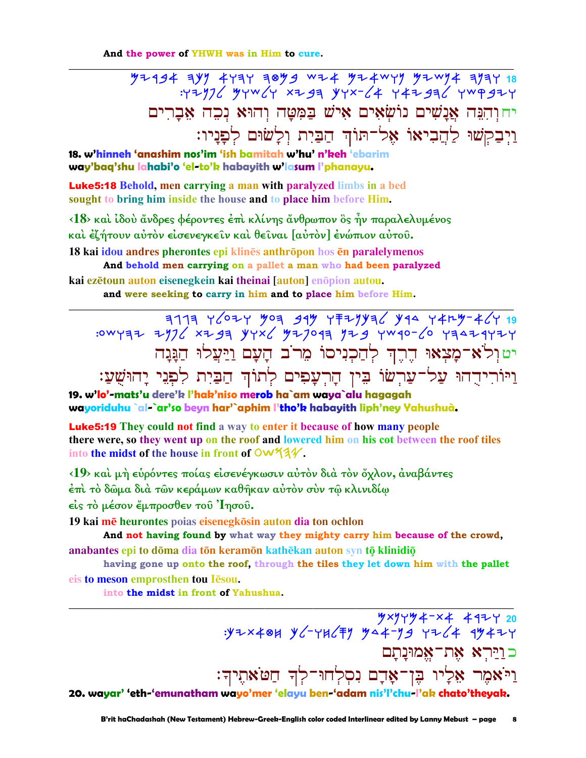And the power of YHWH was in Him to cure.

יחוַהְנֵה אֲנַשִׁים נוֹשִׂאִים אִישׁ בַּמִּטַּה וְהוּא נִכֶה אֲבַרִים וַיְבַקְשׁוּ לַהֲבִיאוֹ אֶל־תּוֹךְ הַבַּיִת וִלָשׂוּם לִפָּנַיו:

18. w'hinneh 'anashim nos'im 'ish bamitah w'hu' n'keh 'ebarim way'baq'shu lahabi'o 'el-to'k habayith w'lasum l'phanayu.

**Luke5:18** Behold, men carrying a man with paralyzed limbs in a bed sought to bring him inside the house and to place him before Him.

<18> και ίδου άνδρες φέροντες έπι κλίνης άνθρωπον δς ήν παραλελυμένος καὶ ἐζήτουν αὐτὸν εἰσενεγκεῖν καὶ θεῖναι [αὐτὸν] ἐνώπιον αὐτοῦ.

18 kai idou andres pherontes epi klinēs anthrōpon hos en paralelymenos And behold men carrying on a pallet a man who had been paralyzed

kai ezētoun auton eisenegkein kai theinai [auton] enōpion autou. and were seeking to carry in him and to place him before Him.

יטולא־מָצְאוּ הֶרֶךְ לְהַכְנִיסוֹ מֵרֹב הָעָם וַיַּעֲלוּ הַגָּנָה וַיּוֹרִידְהוּ עַל־עַרִשׂוֹ בִּין הָרְעָפִים לְתוֹךְ הַבַּיִת לְפִגֵי יָהוּשָׁעַ:

19. w'lo'-mats'u dere'k l'hak'niso merob ha`am waya`alu hagagah wayoriduhu `al-`ar'so beyn har'`aphim l'tho'k habayith liph'ney Yahushuà.

**Luke5:19** They could not find a way to enter it because of how many people there were, so they went up on the roof and lowered him on his cot between the roof tiles into the midst of the house in front of OW34.

<19> και μή ευρόντες ποίας είσενέγκωσιν αυτόν διά τον όχλον, άναβάντες έπὶ τὸ δῶμα διὰ τῶν κεράμων καθῆκαν αὐτὸν σὺν τῷ κλινιδίῳ είς το μέσον έμπροσθεν του Ίησου.

19 kai mē heurontes poias eisenegkōsin auton dia ton ochlon

And not having found by what way they mighty carry him because of the crowd, anabantes epi to dōma dia tōn keramōn kathēkan auton syn tō klinidiō

having gone up onto the roof, through the tiles they let down him with the pallet

eis to meson emprosthen tou Iesou.

into the midst in front of Yahushua.

 $\frac{y \times y + y + x + 4 + y - 20}{y \times y + y + x + 4 + y - 20}$  :y+x40H y /- 4H/\there כוַיַּרְא אֶת־אֱמוּנַתַם וַיֹּאמֶר אֵלְיו בֶּן־אָדָם נִסְלְחוּ־לְךָ חַטֹּאתֶיךָ: 20. wayar' 'eth-'emunatham wayo'mer 'elayu ben-'adam nis'l'chu-l'ak chato'theyak.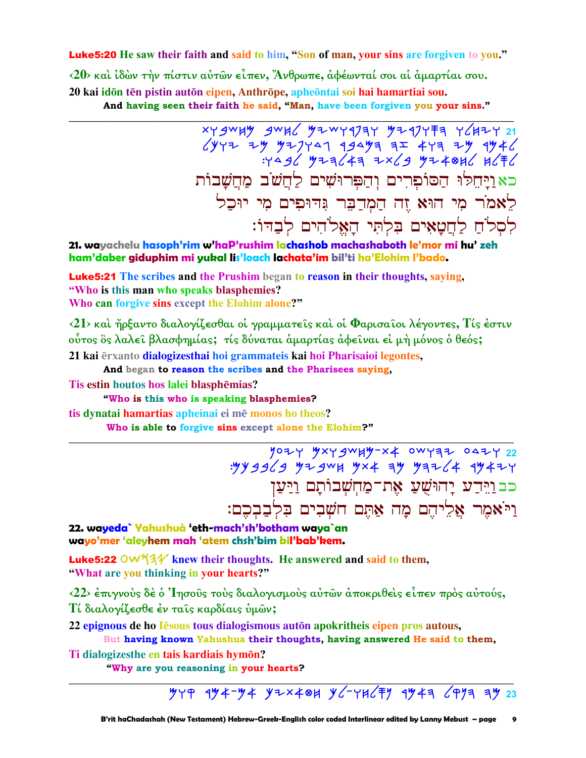**Luke5:20** He saw their faith and said to him, "Son of man, your sins are forgiven to you."

<20> και ίδών την πίστιν αύτων είπεν, Άνθρωπε, αφέωνταί σοι αι αμαρτίαι σου. 20 kai idōn tēn pistin autōn eipen, Anthrōpe, apheōntai soi hai hamartiai sou.

And having seen their faith he said, "Man, have been forgiven you your sins."

 $x + y + y$   $y - z + z$   $y - x + y - z$  $\sqrt{y}$   $\sqrt{77}$   $\sqrt{9}$   $\sqrt{79}$   $\sqrt{9}$   $\sqrt{49}$   $\sqrt{49}$   $\sqrt{49}$   $\sqrt{49}$   $\sqrt{49}$   $\sqrt{49}$   $\sqrt{49}$   $\sqrt{49}$   $\sqrt{49}$   $\sqrt{49}$   $\sqrt{49}$   $\sqrt{49}$   $\sqrt{49}$   $\sqrt{49}$   $\sqrt{49}$   $\sqrt{49}$   $\sqrt{49}$   $\sqrt{49}$   $\sqrt{49}$   $\sqrt{49}$ כאויחלו הסופרים והפרושים לחשב מחשבות לָאמֹר מִי הוּא זֶה הַמְדַבֶּר גִּדוּפִים מִי יוּכַל לסלח לחטאים בלתי האלהים לבדו:

21. wayachelu hasoph'rim w'haP'rushim lachashob machashaboth le'mor mi hu' zeh ham'daber giduphim mi yukal lis'loach lachata'im bil'ti ha'Elohim l'bado.

**Luke5:21** The scribes and the Prushim began to reason in their thoughts, saying, "Who is this man who speaks blasphemies? Who can forgive sins except the Elohim alone?"

<21> και ήρξαντο διαλογίζεσθαι οι γραμματείς και οι Φαρισαίοι λέγοντες, Τίς έστιν ούτος ὃς λαλεί βλασφημίας; τίς δύναται άμαρτίας άφειναι εί μή μόνος ο θεός;

21 kai ērxanto dialogizesthai hoi grammateis kai hoi Pharisaioi legontes,

And began to reason the scribes and the Pharisees saying,

Tis estin houtos hos lalei blasphēmias?

"Who is this who is speaking blasphemies?

tis dynatai hamartias apheinai ei mē monos ho theos? Who is able to forgive sins except alone the Elohim?"

> 1024 4x4 gw 44 - x 4 0 w 4 32 0 4 21 22 כב וַיִּרַע יָהוּשָׁעַ אָת־מַחִשְׁבוֹתָם וַיַּעַן וי אמר אליהם מה אתם חשבים בלבבכם:

22. wayeda` Yahushuà 'eth-mach'sh'botham waya`an wayo'mer 'aleyhem mah 'atem chsh'bim bil'bab'kem.

**Luke5:22 OW 13** knew their thoughts. He answered and said to them, "What are you thinking in your hearts?"

 $\langle 22 \rangle$  έπιγνούς δέ ό 'Iησούς τούς διαλογισμούς αύτων άποκριθείς είπεν πρός αύτούς, Τί διαλογίζεσθε έν ταΐς καρδίαις ύμῶν;

22 epignous de ho lesous tous dialogismous auton apokritheis eipen pros autous,

But having known Yahushua their thoughts, having answered He said to them,

Ti dialogizesthe en tais kardiais hymōn?

"Why are you reasoning in your hearts?

 $779$   $474 - 74$   $72 \times 401$   $76 - 716$   $77$   $474$   $697$   $79$ 23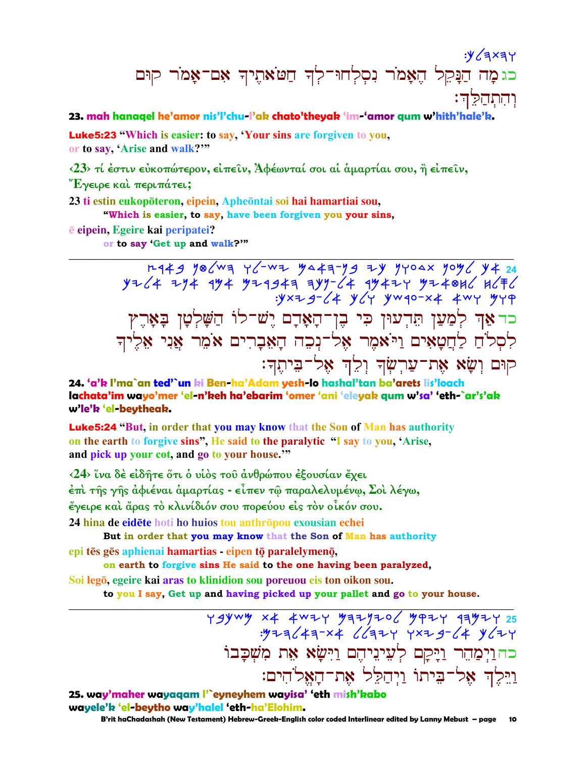# :y (axay כגמה הַנָּקֵל הֵאָמֹר נִסְלְחוּ־לִךְ חַטֹּאתֵיךְ אָם־אָמֹר קוּם <u>וֹהְתַחַקָּה:</u>

### 23. mah hanagel he'amor nis'l'chu-l'ak chato'theyak 'im-'amor gum w'hith'hale'k.

**Luke5:23** "Which is easier: to say, 'Your sins are forgiven to you, or to say, 'Arise and walk?"

<23> τί έστιν εύκοπώτερον, είπειν, Άφέωνταί σοι αί αμαρτίαι σου, η είπειν,

"Έγειρε καὶ περιπάτει;

23 ti estin eukopōteron, eipein, Apheōntai soi hai hamartiai sou,

"Which is easier, to say, have been forgiven you your sins,

e eipein, Egeire kai peripatei?

or to say 'Get up and walk?"

rg 49 yo/wa y/-wa ya 4a-yg ay yyoax yoy/ y 4 24  $y+z^2 + 7y^2 + 9y^2 + 9z^2 + 9y^2 - 6z + 9y^2 + 7y^2 + 9z^2 + 9z^2 + 9z^2 + 9z^2 + 9z^2 + 9z^2 + 9z^2 + 9z^2 + 9z^2 + 9z^2 + 9z^2 + 9z^2 + 9z^2 + 9z^2 + 9z^2 + 9z^2 + 9z^2 + 9z^2 + 9z^2 + 9z^2 + 9z^2 + 9z^2 + 9z^2 + 9z^2 + 9z^2 + 9z^2 + 9z^2 + 9z^2 + 9z^2 +$ כּד אַךְ לְמַעַן תֵּדְעוּן כִּי בֶן־הָאָדָם יֵשׁ־לוֹ הַשָּׁלְטָן בָּאָרֵץ לִסְלֹחַ לַחֲטָאִים וַיֹּאמֶר אָל־נִכֶה הַאָּבָרִים אֹמֵר אַנִי אָלֵיךִ קוּם וְשָׂא אֶת־עַרְשְׂךָ וְלֵךְ אֶל־בִּיתֵךְ:

#### 24. 'a'k l'ma`an ted'`un ki Ben-ha'Adam yesh-lo hashal'tan ba'arets lis'loach lachata'im wayo'mer 'el-n'keh ha'ebarim 'omer 'ani 'eleyak gum w'sa' 'eth-`ar's'ak w'le'k 'el-beytheak.

**Luke5:24 "But, in order that you may know that the Son of Man has authority** on the earth to forgive sins", He said to the paralytic "I say to you, 'Arise, and pick up your cot, and go to your house."

<24> ΐνα δέ είδητε ότι ο υίος του ανθρώπου εξουσίαν έχει έπι της γης αφιέναι αμαρτίας - είπεν τω παραλελυμένω, Σοι λέγω, έγειρε και άρας το κλινίδιόν σου πορεύου είς τον οίκόν σου.

24 hina de eidēte hoti ho huios tou anthrōpou exousian echei

But in order that you may know that the Son of Man has authority epi tēs gēs aphienai hamartias - eipen tō paralelymenō,

on earth to forgive sins He said to the one having been paralyzed, Soi legō, egeire kai aras to klinidion sou poreuou eis ton oikon sou.

to you I say, Get up and having picked up your pallet and go to your house.

כהוַיִּמַהֵר וַיָּקָם לְעֵינֵיהֵם וַיִּשָׂא אֵת מִשִׁכָּבוֹ וַיֵּלֵךְ אֵל־בֵיתוֹ וַיִּהַלֵּל אֶת־הַאֱלֹהִים:

10

25. way'maher wayaqam l'`eyneyhem wayisa' 'eth mish'kabo wavele'k 'el-beytho way'halel 'eth-ha'Elohim. B'rit haChadashah (New Testament) Hebrew-Greek-English color coded Interlinear edited by Lanny Mebust - page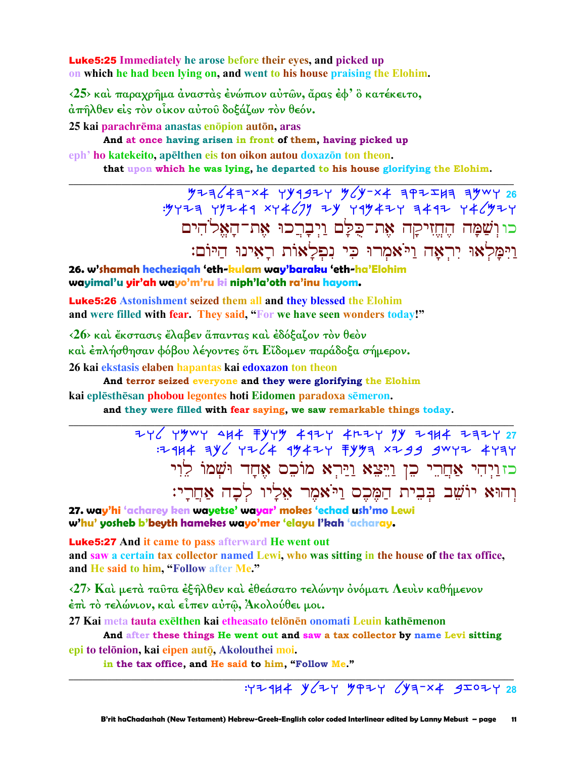**Luke 5:25** Immediately he arose before their eyes, and picked up on which he had been lying on, and went to his house praising the Elohim.

<25> και παραχρήμα άναστας ένώπιον αύτων, άρας έφ' ο κατέκειτο, άπήλθεν είς τον οίκον αύτου δοξάζων τον θεόν.

25 kai parachrēma anastas enōpion autōn, aras

And at once having arisen in front of them, having picked up

eph' ho katekeito, apelthen eis ton oikon autou doxazon ton theon.

that upon which he was lying, he departed to his house glorifying the Elohim.

 $\frac{y^2}{26}$  P23/43-X4 YY192Y Y'X4 3P2IA 3YWY 26 כוושַׁמָּה הֵחֵזִיקַה אֵת־כִלַּם וַיִּבָרֵכוּ אֵת־הָאֵלֹהִים וַיִּמַּלְאוּ יְרִאָה וַיֹּאמִרוּ כִּי נִפְלַאוֹת רַאִינוּ הַיּוֹם:

26. w'shamah hechezigah 'eth-kulam way'baraku 'eth-ha'Elohim wayimal'u yir'ah wayo'm'ru ki niph'la'oth ra'inu hayom.

**Luke5:26** Astonishment seized them all and they blessed the Elohim and were filled with fear. They said, "For we have seen wonders today!"

<26> και έκστασις έλαβεν άπαντας και εδόξαζον τον θεόν καὶ ἐπλήσθησαν φόβου λέγοντες ὅτι Εἴδομεν παράδοξα σήμερον. 26 kai ekstasis elaben hapantas kai edoxazon ton theon

And terror seized everyone and they were glorifying the Elohim

kai eplēsthēsan phobou legontes hoti Eidomen paradoxa sēmeron. and they were filled with fear saying, we saw remarkable things today.

> $17444$   $396$   $7764$   $19477$   $7993$   $x799$   $9077$   $4737$ כזוַיְהִי אַחֲרֵי כֵן וַיֵּצֵא וַיַּרִא מוֹכֵס אֵחֲד וּשָׁמוֹ לֵוִי וְהוּא יוֹשֵׁב בִּבִית הַמֶּכֵס וַיֹּאמֶר אֵלַיו לְכַה אַחֲרֵי:

27. way'hi 'acharey ken wayetse' wayar' mokes 'echad ush'mo Lewi w'hu' yosheb b'beyth hamekes wayo'mer 'elayu l'kah 'acharay.

**Luke5:27** And it came to pass afterward He went out and saw a certain tax collector named Lewi, who was sitting in the house of the tax office, and He said to him, "Follow after Me."

<27> Και μετά ταύτα έξηλθεν και έθεάσατο τελώνην ονόματι Λευιν καθήμενον έπὶ τὸ τελώνιον, καὶ εἶπεν αὐτῷ, Ἀκολούθει μοι.

27 Kai meta tauta exelthen kai etheasato telonen onomati Leuin kathemenon

And after these things He went out and saw a tax collector by name Levi sitting epi to telõnion, kai eipen autō, Akolouthei moi.

in the tax office, and He said to him, "Follow Me."

 $777414$   $464$   $464$   $4971$   $4972$   $4972$   $49707$   $428$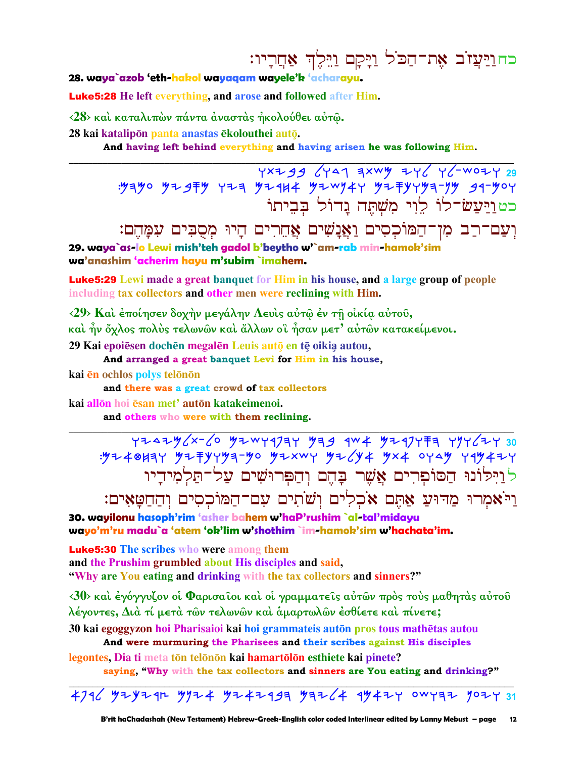כח<u>וי</u>עזב את־הכל ויקם וילד אחריו:

28. waya`azob 'eth-hakol wayagam wayele'k 'acharayu.

**Luke 5:28** He left everything, and arose and followed after Him.

<28> και καταλιπών πάντα άναστας ήκολούθει αυτώ.

28 kai katalipon panta anastas ekolouthei auto.

And having left behind everything and having arisen he was following Him.

YXZ99 6447 3XWY ZY6 Y6-WOZY 29 : 54-90 54-944 724 74-844 74-4744 74-7474-74 74-740 כטוַיַּעֲשׂ־לוֹ לֵוִי מִשְׁתָּה גֵדוֹל בִּבְיתוֹ

וְעַם־רַב מְן־הַמּוֹכְסִים וַאֲנַשִׁים אֲחֶרִים הַיוּ מִסְבִּים עִמַּהֵם:

29. waya`as-lo Lewi mish'teh gadol b'beytho w'`am-rab min-hamok'sim wa'anashim 'acherim hayu m'subim `imahem.

**Luke5:29** Lewi made a great banquet for Him in his house, and a large group of people including tax collectors and other men were reclining with Him.

<29> Και έποίησεν δοχήν μεγάλην Λευις αύτω έν τη οικία αύτου,

και ήν όχλος πολύς τελωνών και άλλων οι ήσαν μετ' αύτων κατακείμενοι.

29 Kai epoiēsen dochēn megalēn Leuis auto en tē oikia autou,

And arranged a great banquet Levi for Him in his house,

kai ēn ochlos polys telonon

and there was a great crowd of tax collectors

kai allōn hoi ēsan met' autōn katakeimenoi.

and others who were with them reclining.

7242y2x-6 y2wyqJay yag qw4 y2qyfa yyy62y 30<br>34y248y43yyya-yo y2xwy y26y4 yx4 oyay yqy4zy לנילונו הסופרים אֲשֶׁר בָהֵם וְהַפְּרוּשִׁים עַל־תַלְמִידָיו וַיֹּאמְרוּ מַדוּעַ אַתְּם אֹכְלִים וְשֹׁתִים עִם־הַמּוֹכְסִים וְהַחַטַּאִים:

30. wavilony hasoph'rim 'asher bahem w'haP'rushim `al-tal'midavy wayo'm'ru madu`a 'atem 'ok'lim w'shothim `im-hamok'sim w'hachata'im.

**Luke5:30** The scribes who were among them and the Prushim grumbled about His disciples and said, "Why are You eating and drinking with the tax collectors and sinners?"

<30> και έγόγγυζον οι Φαρισαίοι και οι γραμματείς αύτων προς τους μαθητάς αύτου λέγοντες, Διά τί μετά των τελωνών και άμαρτωλων έσθίετε και πίνετε;

30 kai egoggyzon hoi Pharisaioi kai hoi grammateis autōn pros tous mathētas autou And were murmuring the Pharisees and their scribes against His disciples

legontes, Dia ti meta tōn telōnōn kai hamartōlōn esthiete kai pinete? saying, "Why with the tax collectors and sinners are You eating and drinking?"

 $4796$   $4796$   $47974$   $47974$   $47993$   $4764$   $4447$   $4947$   $40979$   $479$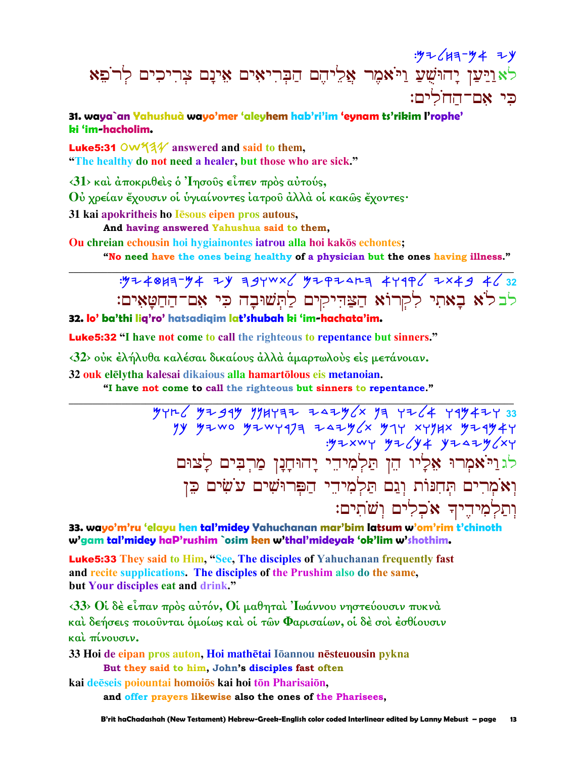# $.97647 - 947$ לאַוַיַּעַן יָהוּשֻׁעַ וַיֹּאמֶר אֲלֵיהֶם הַבְּרִיאִים אֵינָם צְרִיכִים לְרֹפֵא פי אם־החלים:

### 31. waya`an Yahushuà wayo'mer 'aleyhem hab'ri'im 'eynam ts'rikim l'rophe' bi 'im-hacholim.

**Luke5:31 OW534** answered and said to them, "The healthy do not need a healer, but those who are sick."

 $\langle 31 \rangle$  και άποκριθείς ο 'Iησούς είπεν πρός αύτούς,

Ού χρείαν έχουσιν οι υγιαίνοντες ιατρού άλλα οι κακώς έχοντες·

31 kai apokritheis ho lesous eipen pros autous,

And having answered Yahushua said to them.

Ou chreian echousin hoi hygiainontes iatrou alla hoi kakōs echontes;

"No need have the ones being healthy of a physician but the ones having illness."

: 924013-94 24 34 YWX ( 92 PZ AR3 4419 ( 2x49 4 ( 32 לבלֹא בָאתִי לִקְרוֹא הַצַּהִיקִים לַתְּשׁוּבָה כִּי אָם־הַחֲטָאִים: 32. lo' ba'thi lia'ro' hatsadiaim lat'shubah ki 'im-hachata'im.

**Luke 5:32** "I have not come to call the righteous to repentance but sinners."

<32> ούκ έλήλυθα καλέσαι δικαίους άλλά άμαρτωλούς είς μετάνοιαν.

32 ouk elēlytha kalesai dikaious alla hamartōlous eis metanoian.

"I have not come to call the righteous but sinners to repentance."

 $74427$   $74729$   $7947$   $7947$   $7942$   $7942$   $7942$   $7942$   $7942$   $7942$   $793$ yy yiwo yiwyqja zaiyax yiy xyyux yiqyir<br>yixwy yiayi yiazyax לגריאקרו אַלְיו הֵן תַּלְמִיהֵי יָהוּחָנָן מַרִבִּים לַצוּם וָאֹמְרִים תְּחְנּוֹת וְגַם תַּלְמִידֵי הַפִּרוּשִׁים עֹשִׂים כֵּן וִתַלְמִידִיךְ אֹכְלִים וְשֹׁתִים:

33. wayo'm'ru 'elayu hen tal'midey Yahuchanan mar'bim latsum w'om'rim t'chinoth w'gam tal'midey haP'rushim `osim ken w'thal'mideyak 'ok'lim w'shothim.

**Luke5:33** They said to Him, "See, The disciples of Yahuchanan frequently fast and recite supplications. The disciples of the Prushim also do the same, but Your disciples eat and drink."

 $\langle 33 \rangle$  θί δέ είπαν πρός αύτόν, θί μαθηταί 'Ιωάννου νηστεύουσιν πυκνά καὶ δεήσεις ποιοῦνται ὁμοίως καὶ οἱ τῶν Φαρισαίων, οἱ δὲ σοὶ ἐσθίουσιν και πίνουσιν.

33 Hoi de eipan pros auton. Hoi mathētai Iōannou nēsteuousin pykna But they said to him, John's disciples fast often

kai deēseis poiountai homoios kai hoi tōn Pharisaiōn, and offer prayers likewise also the ones of the Pharisees.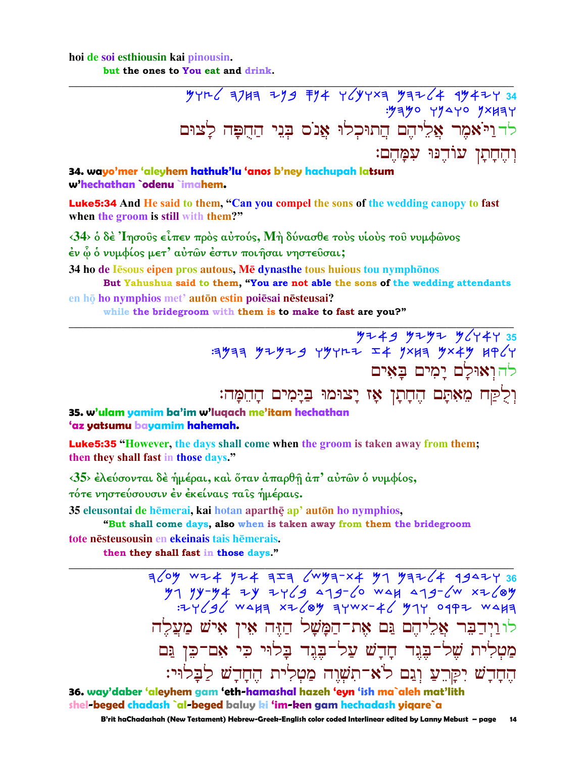## hoi de soi esthiousin kai pinousin.

but the ones to You eat and drink.

34. wayo'mer 'aleyhem hathuk'lu 'anos b'ney hachupah latsum w'hechathan `odenu `imahem.

**Luke5:34** And He said to them, "Can you compel the sons of the wedding canopy to fast when the groom is still with them?"

<34> ο δέ Ίησούς είπεν πρός αύτούς, Μή δύνασθε τούς υίούς του νυμφώνος έν ὧ ὁ νυμφίος μετ' αὐτῶν έστιν ποιήσαι νηστεῦσαι;

34 ho de Jesous eipen pros autous, Me dynasthe tous huious tou nymphonos But Yahushua said to them, "You are not able the sons of the wedding attendants

en hō ho nymphios met' autōn estin poiēsai nēsteusai? while the bridegroom with them is to make to fast are you?"

> $\frac{y}{2}+y+y+\frac{y}{2}+y+\frac{y}{2}+\frac{y}{2}+\frac{y}{2}+\frac{y}{2}+\frac{y}{2}+\frac{y}{2}+\frac{y}{2}+\frac{y}{2}+\frac{y}{2}+\frac{y}{2}+\frac{y}{2}+\frac{y}{2}+\frac{y}{2}+\frac{y}{2}+\frac{y}{2}+\frac{y}{2}+\frac{y}{2}+\frac{y}{2}+\frac{y}{2}+\frac{y}{2}+\frac{y}{2}+\frac{y}{2}+\frac{y}{2}+\frac{y}{2}+\frac{y}{2}+\frac{y}{2}+\frac{y}{2}+\frac{y}{2}+\frac{y}{$ להוְאוּלַם יַמִים בַּאִים וִלְקַח מֶאָתַם הֶחֲתַן אֶז יַצוּמוּ בַּיַּמִים הַהֱמֵה:

### 35. w'ulam yamim ba'im w'luqach me'itam hechathan 'az yatsumu bayamim hahemah.

**Luke5:35** "However, the days shall come when the groom is taken away from them; then they shall fast in those days."

 $\langle 35 \rangle$  έλεύσονται δέ ήμέραι, και όταν άπαρθη άπ' αύτων ο νυμφίος, τότε νηστεύσουσιν έν έκείναις ταις ήμέραις.

35 eleusontai de hēmerai, kai hotan aparthē ap' autōn ho nymphios,

"But shall come days, also when is taken away from them the bridegroom tote nēsteusousin en ekeinais tais hēmerais. then they shall fast in those days."

> לוניִדַבִּר אֲלֵיהֵם נֵּם אֵת־הַמָּשָׁל הַזֶּה אֵין אִישׁ מַעֲלֵה מַטְלִית שָׁל־בֶּגֶד חַדֵשׁ עַל־בָּגֶד בַּלוּי כִּי אָם־כֵּן גַּם החדש יִקַּרֵעַ וְגַם לֹא־תִשְׁוָה מַטְלִית הֵחֲדַשׁ לַבָּלוּי:

36. way'daber 'aleyhem gam 'eth-hamashal hazeh 'eyn 'ish ma`aleh mat'lith shel-beged chadash `al-beged baluy ki 'im-ken gam hechadash yigare`a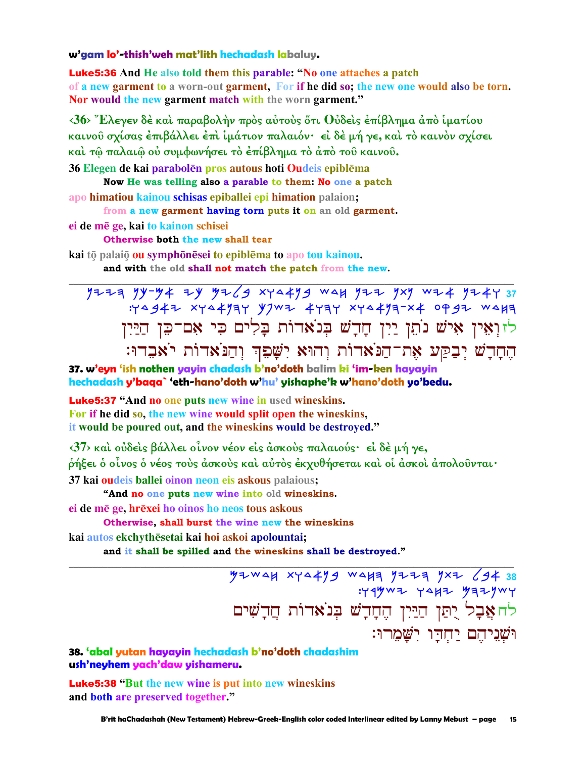#### **w'gam lo'-thish'weh mat'lith hechadash labaluy.**

Luke5:36 **And He also told them this parable: "No one attaches a patch of a new garment to a worn-out garment, For if he did so; the new one would also be torn. Nor would the new garment match with the worn garment."** 

**‹36› Ἔλεγεν δὲ καὶ παραβολὴν πρὸς αὐτοὺς ὅτι Οὐδεὶς ἐπίβληµα ἀπὸ ἱµατίου καινοῦ σχίσας ἐπιβάλλει ἐπὶ ἱµάτιον παλαιόν· εἰ δὲ µή γε, καὶ τὸ καινὸν σχίσει καὶ τῷ παλαιῷ οὐ συµφωνήσει τὸ ἐπίβληµα τὸ ἀπὸ τοῦ καινοῦ.** 

**36 Elegen de kai parabolēn pros autous hoti Oudeis epiblēma** 

**Now He was telling also a parable to them: No one a patch apo himatiou kainou schisas epiballei epi himation palaion;** 

**from a new garment having torn puts it on an old garment.**

**ei de m ge, kai to kainon schisei** 

**Otherwise both the new shall tear**

**kai** tō palaiō **ou** symphōnēsei to epiblēma to apo tou kainou.

**and with the old shall not match the patch from the new.** 

nyyh nk-Ma yk Mylb twdanb cdj nyy ntn cya nyaw **37**   $:Y^{\Delta}947$  xy $\Delta4$ 134 YJW7 4734 xy $\Delta4$ 13-x4 0997 WAH לזוְאֵין אִישׁ נֹתֵן יַיִן חָדָשׁ בְּנֹאדוֹת בָּלִים כִּי אָם־כֵּן הַיַּיִן הֵחֲדַשׁ יִבְקַע אֶת־הֲנֹאדוֹת וְהוּא יִשָּׁבֶד וְהַנֹּאדוֹת יֹאַבֶדוּ:

**\_\_\_\_\_\_\_\_\_\_\_\_\_\_\_\_\_\_\_\_\_\_\_\_\_\_\_\_\_\_\_\_\_\_\_\_\_\_\_\_\_\_\_\_\_\_\_\_\_\_\_\_\_\_\_\_\_\_\_\_\_\_\_\_\_\_\_\_\_\_\_\_\_\_\_\_\_\_\_\_\_\_\_\_\_\_\_\_\_\_\_\_\_**

**37. w'eyn 'ish nothen yayin chadash b'no'doth balim ki 'im-ken hayayin hechadash y'baqa` 'eth-hano'doth w'hu' yishaphe'k w'hano'doth yo'bedu.**

Luke5:37 **"And no one puts new wine in used wineskins. For if he did so, the new wine would split open the wineskins, it would be poured out, and the wineskins would be destroyed."**

**‹37› καὶ οὐδεὶς βάλλει οἶνον νέον εἰς ἀσκοὺς παλαιούς· εἰ δὲ µή γε,** 

**ῥήξει ὁ οἶνος ὁ νέος τοὺς ἀσκοὺς καὶ αὐτὸς ἐκχυθήσεται καὶ οἱ ἀσκοὶ ἀπολοῦνται·** 

**37 kai oudeis ballei oinon neon eis askous palaious;** 

**"And no one puts new wine into old wineskins.** 

**ei de mē ge, hrēxei ho oinos ho neos tous askous** 

**Otherwise, shall burst the wine new the wineskins**

**kai autos ekchythsetai kai hoi askoi apolountai; and it shall be spilled and the wineskins shall be destroyed."** 

**\_\_\_\_\_\_\_\_\_\_\_\_\_\_\_\_\_\_\_\_\_\_\_\_\_\_\_\_\_\_\_\_\_\_\_\_\_\_\_\_\_\_\_\_\_\_\_\_\_\_\_\_\_\_\_\_\_\_\_\_\_\_\_\_\_\_\_\_\_\_\_\_\_\_\_\_\_\_\_\_\_\_\_\_\_\_\_\_\_\_\_\_\_** <u>M</u>ZWAH XYA4YS WAHE YIIE YXI 694 38  $:Y4$ ywa yaka yaaywy לּה אֲבָל יָתַּן הַיַּיִן הֶחָדְשׁ בְּנֹאדוֹת הֲדָשִׁים ו*ישני*הם יחדו ישמרו:

#### **38. 'abal yutan hayayin hechadash b'no'doth chadashim ush'neyhem yach'daw yishameru.**

Luke5:38 **"But the new wine is put into new wineskins and both are preserved together."**